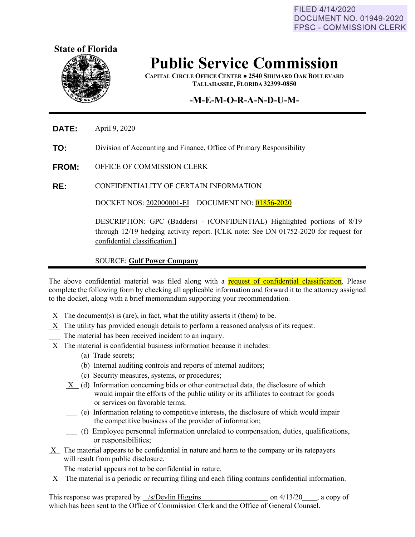FILED 4/14/2020 **DOCUMENT NO. 01949-2020 FPSC - COMMISSION CLERK** 



# **Public Service Commission**

**CAPITAL CIRCLE OFFICE CENTER ● 2540 SHUMARD OAK BOULEVARD TALLAHASSEE, FLORIDA 32399-0850**

### **-M-E-M-O-R-A-N-D-U-M-**

**DATE:** April 9, 2020

**TO:** Division of Accounting and Finance, Office of Primary Responsibility

**FROM:** OFFICE OF COMMISSION CLERK

**RE:** CONFIDENTIALITY OF CERTAIN INFORMATION

DOCKET NOS: 202000001-EI DOCUMENT NO: 01856-2020

DESCRIPTION: GPC (Badders) - (CONFIDENTIAL) Highlighted portions of 8/19 through 12/19 hedging activity report. [CLK note: See DN 01752-2020 for request for confidential classification.]

#### SOURCE: **Gulf Power Company**

The above confidential material was filed along with a request of confidential classification. Please complete the following form by checking all applicable information and forward it to the attorney assigned to the docket, along with a brief memorandum supporting your recommendation.

- $X$  The document(s) is (are), in fact, what the utility asserts it (them) to be.
- X The utility has provided enough details to perform a reasoned analysis of its request.
- The material has been received incident to an inquiry.
- X The material is confidential business information because it includes:
	- (a) Trade secrets;
	- (b) Internal auditing controls and reports of internal auditors;
	- (c) Security measures, systems, or procedures;
	- X (d) Information concerning bids or other contractual data, the disclosure of which would impair the efforts of the public utility or its affiliates to contract for goods or services on favorable terms;
	- (e) Information relating to competitive interests, the disclosure of which would impair the competitive business of the provider of information;
	- (f) Employee personnel information unrelated to compensation, duties, qualifications, or responsibilities;
- $X$  The material appears to be confidential in nature and harm to the company or its ratepayers will result from public disclosure.
	- The material appears not to be confidential in nature.
- X The material is a periodic or recurring filing and each filing contains confidential information.

This response was prepared by /s/Devlin Higgins on 4/13/20 , a copy of which has been sent to the Office of Commission Clerk and the Office of General Counsel.